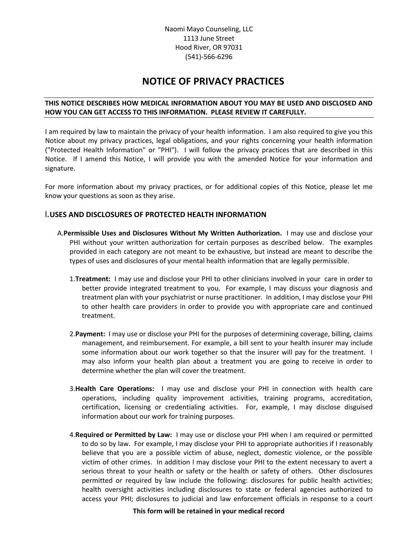## **NOTICE OF PRIVACY PRACTICES**

## **THIS NOTICE DESCRIBES HOW MEDICAL INFORMATION ABOUT YOU MAY BE USED AND DISCLOSED AND HOW YOU CAN GET ACCESS TO THIS INFORMATION. PLEASE REVIEW IT CAREFULLY.**

I am required by law to maintain the privacy of your health information. I am also required to give you this Notice about my privacy practices, legal obligations, and your rights concerning your health information ("Protected Health Information" or "PHI"). I will follow the privacy practices that are described in this Notice. If I amend this Notice, I will provide you with the amended Notice for your information and signature.

For more information about my privacy practices, or for additional copies of this Notice, please let me know your questions as soon as they arise.

## **I.USES AND DISCLOSURES OF PROTECTED HEALTH INFORMATION**

- A.**Permissible Uses and Disclosures Without My Written Authorization.** I may use and disclose your PHI without your written authorization for certain purposes as described below. The examples provided in each category are not meant to be exhaustive, but instead are meant to describe the types of uses and disclosures of your mental health information that are legally permissible.
	- 1.**Treatment:** I may use and disclose your PHI to other clinicians involved in your care in order to better provide integrated treatment to you. For example, I may discuss your diagnosis and treatment plan with your psychiatrist or nurse practitioner. In addition, I may disclose your PHI to other health care providers in order to provide you with appropriate care and continued treatment.
	- 2.**Payment:** I may use or disclose your PHI for the purposes of determining coverage, billing, claims management, and reimbursement. For example, a bill sent to your health insurer may include some information about our work together so that the insurer will pay for the treatment. I may also inform your health plan about a treatment you are going to receive in order to determine whether the plan will cover the treatment.
	- 3.**Health Care Operations:** I may use and disclose your PHI in connection with health care operations, including quality improvement activities, training programs, accreditation, certification, licensing or credentialing activities. For, example, I may disclose disguised information about our work for training purposes.
	- 4.**Required or Permitted by Law:** I may use or disclose your PHI when I am required or permitted to do so by law. For example, I may disclose your PHI to appropriate authorities if I reasonably believe that you are a possible victim of abuse, neglect, domestic violence, or the possible victim of other crimes. In addition I may disclose your PHI to the extent necessary to avert a serious threat to your health or safety or the health or safety of others. Other disclosures permitted or required by law include the following: disclosures for public health activities; health oversight activities including disclosures to state or federal agencies authorized to access your PHI; disclosures to judicial and law enforcement officials in response to a court

#### **This form will be retained in your medical record**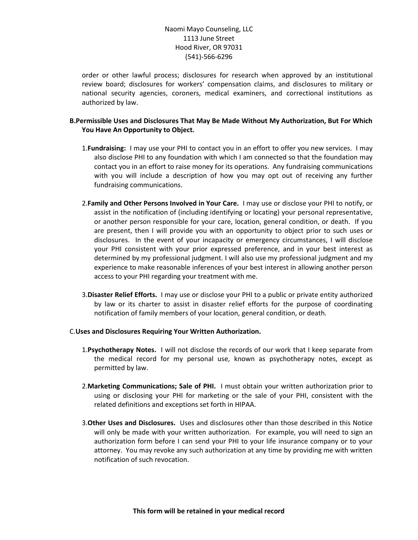order or other lawful process; disclosures for research when approved by an institutional review board; disclosures for workers' compensation claims, and disclosures to military or national security agencies, coroners, medical examiners, and correctional institutions as authorized by law.

## **B.Permissible Uses and Disclosures That May Be Made Without My Authorization, But For Which You Have An Opportunity to Object.**

- 1.**Fundraising:** I may use your PHI to contact you in an effort to offer you new services. I may also disclose PHI to any foundation with which I am connected so that the foundation may contact you in an effort to raise money for its operations. Any fundraising communications with you will include a description of how you may opt out of receiving any further fundraising communications.
- 2.**Family and Other Persons Involved in Your Care.** I may use or disclose your PHI to notify, or assist in the notification of (including identifying or locating) your personal representative, or another person responsible for your care, location, general condition, or death. If you are present, then I will provide you with an opportunity to object prior to such uses or disclosures. In the event of your incapacity or emergency circumstances, I will disclose your PHI consistent with your prior expressed preference, and in your best interest as determined by my professional judgment. I will also use my professional judgment and my experience to make reasonable inferences of your best interest in allowing another person access to your PHI regarding your treatment with me.
- 3.**Disaster Relief Efforts.** I may use or disclose your PHI to a public or private entity authorized by law or its charter to assist in disaster relief efforts for the purpose of coordinating notification of family members of your location, general condition, or death.

#### C.**Uses and Disclosures Requiring Your Written Authorization.**

- 1.**Psychotherapy Notes.** I will not disclose the records of our work that I keep separate from the medical record for my personal use, known as psychotherapy notes, except as permitted by law.
- 2.**Marketing Communications; Sale of PHI.** I must obtain your written authorization prior to using or disclosing your PHI for marketing or the sale of your PHI, consistent with the related definitions and exceptions set forth in HIPAA.
- 3.**Other Uses and Disclosures.** Uses and disclosures other than those described in this Notice will only be made with your written authorization. For example, you will need to sign an authorization form before I can send your PHI to your life insurance company or to your attorney. You may revoke any such authorization at any time by providing me with written notification of such revocation.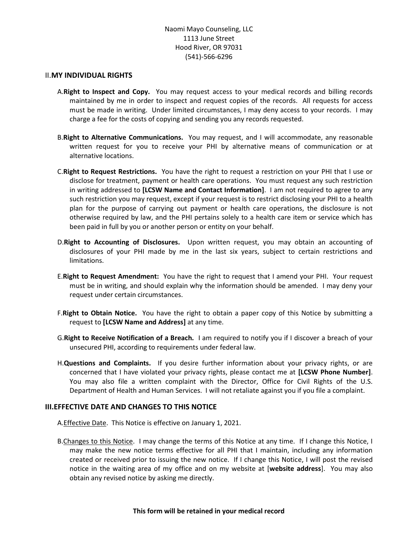#### II.**MY INDIVIDUAL RIGHTS**

- A.**Right to Inspect and Copy.** You may request access to your medical records and billing records maintained by me in order to inspect and request copies of the records. All requests for access must be made in writing. Under limited circumstances, I may deny access to your records. I may charge a fee for the costs of copying and sending you any records requested.
- B.**Right to Alternative Communications.** You may request, and I will accommodate, any reasonable written request for you to receive your PHI by alternative means of communication or at alternative locations.
- C.**Right to Request Restrictions.** You have the right to request a restriction on your PHI that I use or disclose for treatment, payment or health care operations. You must request any such restriction in writing addressed to **[LCSW Name and Contact Information]**. I am not required to agree to any such restriction you may request, except if your request is to restrict disclosing your PHI to a health plan for the purpose of carrying out payment or health care operations, the disclosure is not otherwise required by law, and the PHI pertains solely to a health care item or service which has been paid in full by you or another person or entity on your behalf.
- D.**Right to Accounting of Disclosures.** Upon written request, you may obtain an accounting of disclosures of your PHI made by me in the last six years, subject to certain restrictions and limitations.
- E.**Right to Request Amendment:** You have the right to request that I amend your PHI. Your request must be in writing, and should explain why the information should be amended. I may deny your request under certain circumstances.
- F.**Right to Obtain Notice.** You have the right to obtain a paper copy of this Notice by submitting a request to **[LCSW Name and Address]** at any time.
- G.**Right to Receive Notification of a Breach.** I am required to notify you if I discover a breach of your unsecured PHI, according to requirements under federal law.
- H.**Questions and Complaints.** If you desire further information about your privacy rights, or are concerned that I have violated your privacy rights, please contact me at **[LCSW Phone Number]**. You may also file a written complaint with the Director, Office for Civil Rights of the U.S. Department of Health and Human Services. I will not retaliate against you if you file a complaint.

#### **III.EFFECTIVE DATE AND CHANGES TO THIS NOTICE**

- A.Effective Date. This Notice is effective on January 1, 2021.
- B. Changes to this Notice. I may change the terms of this Notice at any time. If I change this Notice, I may make the new notice terms effective for all PHI that I maintain, including any information created or received prior to issuing the new notice. If I change this Notice, I will post the revised notice in the waiting area of my office and on my website at [**website address**]. You may also obtain any revised notice by asking me directly.